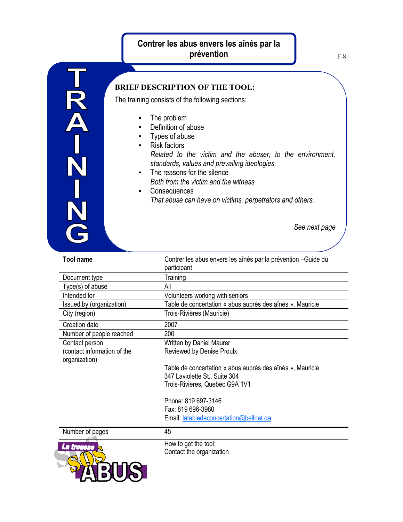## **Contrer les abus envers les aînés par la prévention**



## **BRIEF DESCRIPTION OF THE TOOL:**

The training consists of the following sections:

- The problem
- Definition of abuse
- Types of abuse
- Risk factors *Related to the victim and the abuser, to the environment, standards, values and prevailing ideologies.*
- The reasons for the silence *Both from the victim and the witness*
- Consequences *That abuse can have on victims, perpetrators and others.*

*See next page*

| <b>Tool name</b>                             | Contrer les abus envers les aînés par la prévention - Guide du<br>participant |
|----------------------------------------------|-------------------------------------------------------------------------------|
| Document type                                | Training                                                                      |
| Type(s) of abuse                             | All                                                                           |
| Intended for                                 | Volunteers working with seniors                                               |
| Issued by (organization)                     | Table de concertation « abus auprès des aînés », Mauricie                     |
| City (region)                                | Trois-Rivières (Mauricie)                                                     |
| Creation date                                | 2007                                                                          |
| Number of people reached                     | 200                                                                           |
| Contact person                               | Written by Daniel Maurer                                                      |
| (contact information of the<br>organization) | Reviewed by Denise Proulx                                                     |
|                                              | Table de concertation « abus auprès des aînés », Mauricie                     |
|                                              | 347 Laviolette St., Suite 304                                                 |
|                                              | Trois-Rivieres, Quebec G9A 1V1                                                |
|                                              | Phone: 819 697-3146                                                           |
|                                              | Fax: 819 696-3980                                                             |
|                                              | Email: latabledeconcertation@bellnet.ca                                       |
| Number of pages                              | 45                                                                            |
| La trousse                                   | How to get the tool:                                                          |
|                                              | Contact the organization                                                      |
|                                              |                                                                               |
|                                              |                                                                               |
|                                              |                                                                               |